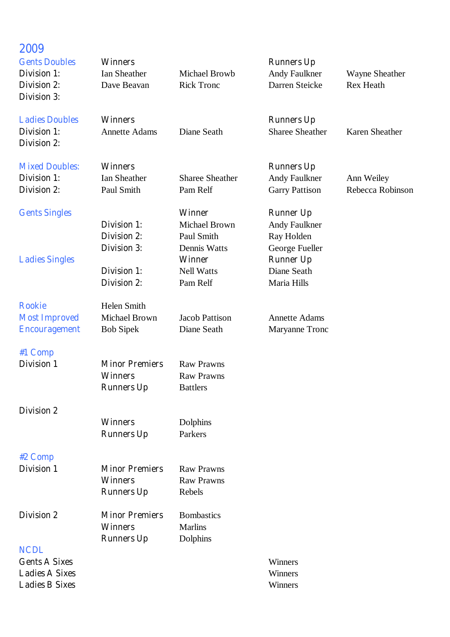| 2009<br><b>Gents Doubles</b>                | <b>Winners</b>                           |                                    | <b>Runners Up</b>                           |                                           |
|---------------------------------------------|------------------------------------------|------------------------------------|---------------------------------------------|-------------------------------------------|
| Division 1:<br>Division 2:                  | Ian Sheather<br>Dave Beavan              | Michael Browb<br><b>Rick Tronc</b> | <b>Andy Faulkner</b><br>Darren Steicke      | <b>Wayne Sheather</b><br><b>Rex Heath</b> |
| <b>Division 3:</b>                          |                                          |                                    |                                             |                                           |
| <b>Ladies Doubles</b><br><b>Division 1:</b> | <b>Winners</b>                           | Diane Seath                        | <b>Runners Up</b><br><b>Sharee Sheather</b> | <b>Karen Sheather</b>                     |
| Division 2:                                 | <b>Annette Adams</b>                     |                                    |                                             |                                           |
| <b>Mixed Doubles:</b>                       | <b>Winners</b>                           |                                    | <b>Runners Up</b>                           |                                           |
| Division 1:                                 | Ian Sheather                             | <b>Sharee Sheather</b>             | <b>Andy Faulkner</b>                        | Ann Weiley                                |
| Division 2:                                 | Paul Smith                               | Pam Relf                           | <b>Garry Pattison</b>                       | Rebecca Robinson                          |
| <b>Gents Singles</b>                        |                                          | <b>Winner</b>                      | <b>Runner Up</b>                            |                                           |
|                                             | Division 1:                              | Michael Brown                      | <b>Andy Faulkner</b>                        |                                           |
|                                             | <b>Division 2:</b><br><b>Division 3:</b> | Paul Smith<br>Dennis Watts         | Ray Holden<br>George Fueller                |                                           |
| <b>Ladies Singles</b>                       |                                          | <b>Winner</b>                      | <b>Runner Up</b>                            |                                           |
|                                             | <b>Division 1:</b>                       | <b>Nell Watts</b>                  | Diane Seath                                 |                                           |
|                                             | <b>Division 2:</b>                       | Pam Relf                           | Maria Hills                                 |                                           |
| <b>Rookie</b>                               | Helen Smith                              |                                    |                                             |                                           |
| <b>Most Improved</b>                        | Michael Brown                            | <b>Jacob Pattison</b>              | <b>Annette Adams</b>                        |                                           |
| <b>Encouragement</b>                        | <b>Bob Sipek</b>                         | Diane Seath                        | Maryanne Tronc                              |                                           |
| #1 Comp                                     |                                          |                                    |                                             |                                           |
| <b>Division 1</b>                           | <b>Minor Premiers</b>                    | <b>Raw Prawns</b>                  |                                             |                                           |
|                                             | <b>Winners</b>                           | <b>Raw Prawns</b>                  |                                             |                                           |
|                                             | <b>Runners Up</b>                        | <b>Battlers</b>                    |                                             |                                           |
| <b>Division 2</b>                           |                                          |                                    |                                             |                                           |
|                                             | <b>Winners</b>                           | Dolphins                           |                                             |                                           |
|                                             | <b>Runners Up</b>                        | Parkers                            |                                             |                                           |
| #2 Comp                                     |                                          |                                    |                                             |                                           |
| <b>Division 1</b>                           | <b>Minor Premiers</b>                    | <b>Raw Prawns</b>                  |                                             |                                           |
|                                             | <b>Winners</b>                           | <b>Raw Prawns</b>                  |                                             |                                           |

**Runners Up** Rebels

**Runners Up** Dolphins

**Winners** 

- **Division 2 Minor Premiers** Bombastics<br>**Winners** Marlins
- **NCDL**
- **Gents A Sixes** Winners<br> **Ladies A Sixes** Winners **Ladies A Sixes Ladies B Sixes** Winners